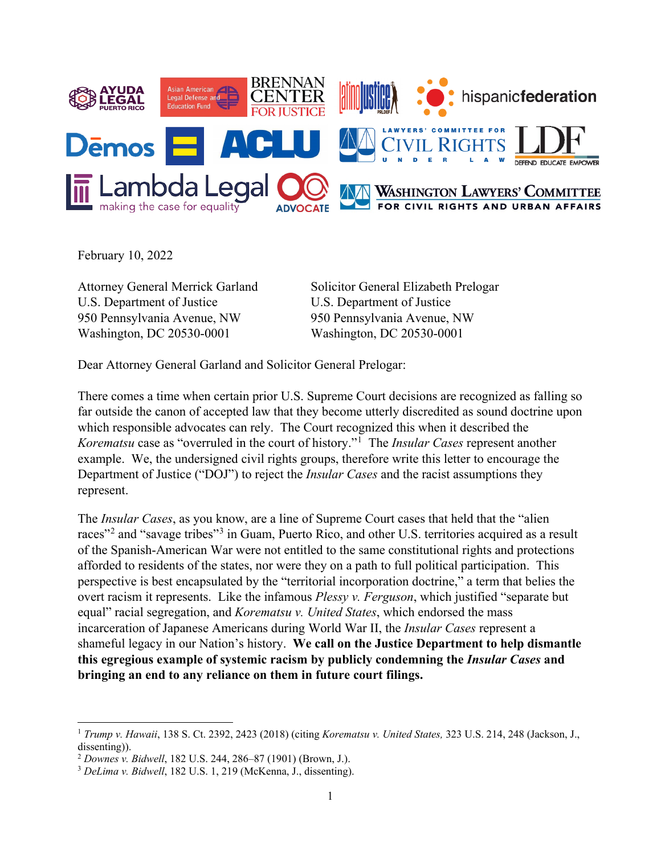

February 10, 2022

 $\ddot{\phantom{a}}$ 

U.S. Department of Justice U.S. Department of Justice 950 Pennsylvania Avenue, NW 950 Pennsylvania Avenue, NW Washington, DC 20530-0001 Washington, DC 20530-0001

Attorney General Merrick Garland Solicitor General Elizabeth Prelogar

Dear Attorney General Garland and Solicitor General Prelogar:

There comes a time when certain prior U.S. Supreme Court decisions are recognized as falling so far outside the canon of accepted law that they become utterly discredited as sound doctrine upon which responsible advocates can rely. The Court recognized this when it described the *Korematsu* case as "overruled in the court of history."[1](#page-0-0) The *Insular Cases* represent another example. We, the undersigned civil rights groups, therefore write this letter to encourage the Department of Justice ("DOJ") to reject the *Insular Cases* and the racist assumptions they represent.

The *Insular Cases*, as you know, are a line of Supreme Court cases that held that the "alien races"<sup>[2](#page-0-1)</sup> and "savage tribes"<sup>[3](#page-0-2)</sup> in Guam, Puerto Rico, and other U.S. territories acquired as a result of the Spanish-American War were not entitled to the same constitutional rights and protections afforded to residents of the states, nor were they on a path to full political participation. This perspective is best encapsulated by the "territorial incorporation doctrine," a term that belies the overt racism it represents. Like the infamous *Plessy v. Ferguson*, which justified "separate but equal" racial segregation, and *Korematsu v. United States*, which endorsed the mass incarceration of Japanese Americans during World War II, the *Insular Cases* represent a shameful legacy in our Nation's history. **We call on the Justice Department to help dismantle this egregious example of systemic racism by publicly condemning the** *Insular Cases* **and bringing an end to any reliance on them in future court filings.**

<span id="page-0-0"></span><sup>1</sup> *Trump v. Hawaii*, 138 S. Ct. 2392, 2423 (2018) (citing *Korematsu v. United States,* 323 U.S. 214, 248 (Jackson, J., dissenting)).<br><sup>2</sup> Downes v. Bidwell, 182 U.S. 244, 286–87 (1901) (Brown, J.).

<span id="page-0-1"></span>

<span id="page-0-2"></span><sup>&</sup>lt;sup>3</sup> DeLima v. Bidwell, 182 U.S. 1, 219 (McKenna, J., dissenting).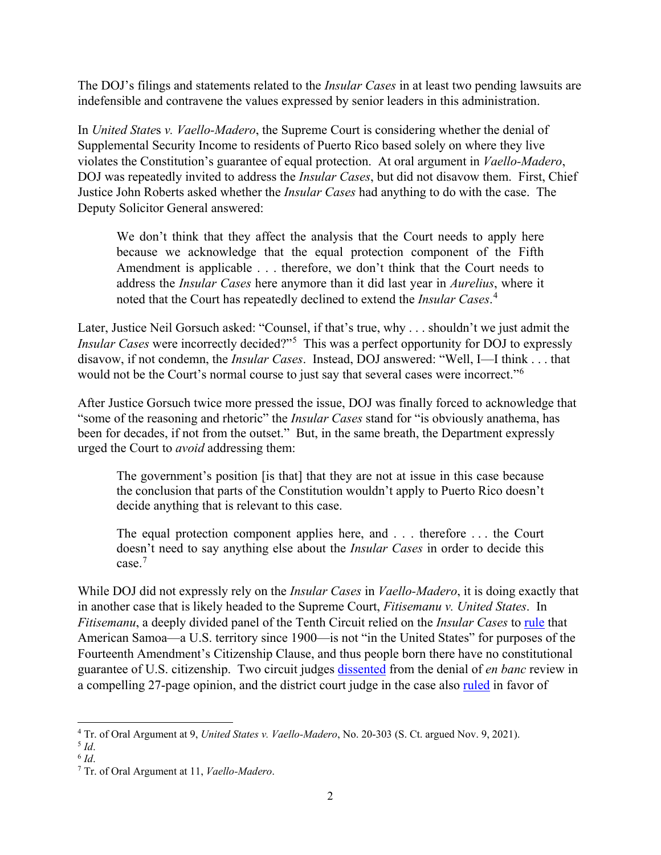The DOJ's filings and statements related to the *Insular Cases* in at least two pending lawsuits are indefensible and contravene the values expressed by senior leaders in this administration.

In *United State*s *v. Vaello-Madero*, the Supreme Court is considering whether the denial of Supplemental Security Income to residents of Puerto Rico based solely on where they live violates the Constitution's guarantee of equal protection. At oral argument in *Vaello-Madero*, DOJ was repeatedly invited to address the *Insular Cases*, but did not disavow them. First, Chief Justice John Roberts asked whether the *Insular Cases* had anything to do with the case. The Deputy Solicitor General answered:

We don't think that they affect the analysis that the Court needs to apply here because we acknowledge that the equal protection component of the Fifth Amendment is applicable . . . therefore, we don't think that the Court needs to address the *Insular Cases* here anymore than it did last year in *Aurelius*, where it noted that the Court has repeatedly declined to extend the *Insular Cases*. [4](#page-1-0)

Later, Justice Neil Gorsuch asked: "Counsel, if that's true, why . . . shouldn't we just admit the *Insular Cases* were incorrectly decided?"[5](#page-1-1) This was a perfect opportunity for DOJ to expressly disavow, if not condemn, the *Insular Cases*. Instead, DOJ answered: "Well, I—I think . . . that would not be the Court's normal course to just say that several cases were incorrect."<sup>[6](#page-1-2)</sup>

After Justice Gorsuch twice more pressed the issue, DOJ was finally forced to acknowledge that "some of the reasoning and rhetoric" the *Insular Cases* stand for "is obviously anathema, has been for decades, if not from the outset." But, in the same breath, the Department expressly urged the Court to *avoid* addressing them:

The government's position [is that] that they are not at issue in this case because the conclusion that parts of the Constitution wouldn't apply to Puerto Rico doesn't decide anything that is relevant to this case.

The equal protection component applies here, and . . . therefore . . . the Court doesn't need to say anything else about the *Insular Cases* in order to decide this case.[7](#page-1-3)

While DOJ did not expressly rely on the *Insular Cases* in *Vaello-Madero*, it is doing exactly that in another case that is likely headed to the Supreme Court, *Fitisemanu v. United States*. In *Fitisemanu*, a deeply divided panel of the Tenth Circuit relied on the *Insular Cases* to [rule](https://d3n8a8pro7vhmx.cloudfront.net/wethepeopleproject/pages/210/attachments/original/1623862055/Fitisemanu_v._US__10th_Circuit.pdf?1623862055) that American Samoa—a U.S. territory since 1900—is not "in the United States" for purposes of the Fourteenth Amendment's Citizenship Clause, and thus people born there have no constitutional guarantee of U.S. citizenship. Two circuit judges [dissented](https://d3n8a8pro7vhmx.cloudfront.net/wethepeopleproject/pages/210/attachments/original/1640640770/Fitisemanu_-_En_Banc_Petition_Denied__Dissent_to_Denial.pdf?1640640770) from the denial of *en banc* review in a compelling 27-page opinion, and the district court judge in the case also [ruled](https://d3n8a8pro7vhmx.cloudfront.net/wethepeopleproject/pages/210/attachments/original/1623862485/Fitisemanu_Opinion.pdf?1623862485) in favor of

<span id="page-1-0"></span> $\ddot{\phantom{a}}$ <sup>4</sup> Tr. of Oral Argument at 9, *United States v. Vaello-Madero*, No. 20-303 (S. Ct. argued Nov. 9, 2021).

<span id="page-1-1"></span><sup>5</sup> *Id*.

<span id="page-1-2"></span> $6$  *Id.* 

<span id="page-1-3"></span><sup>7</sup> Tr. of Oral Argument at 11, *Vaello-Madero*.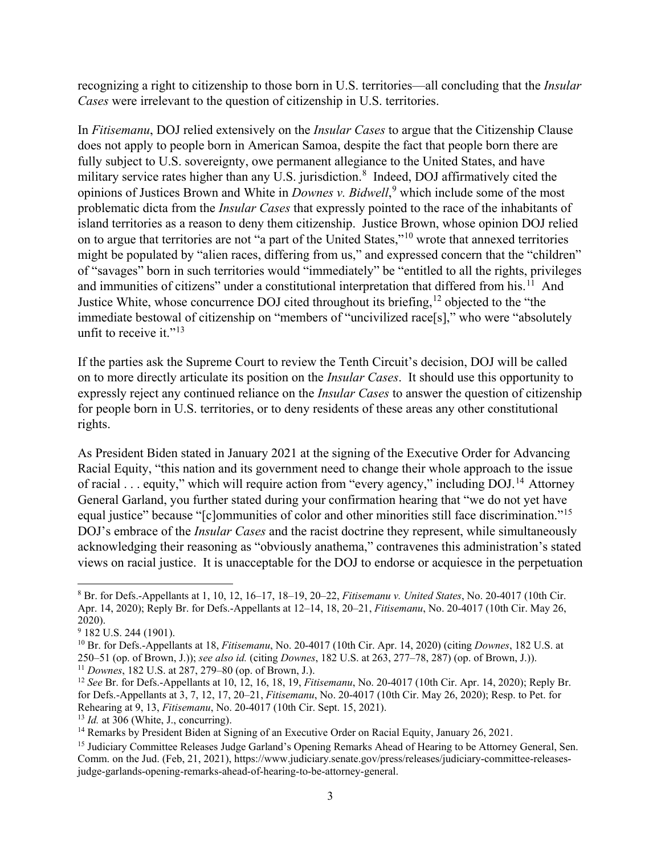recognizing a right to citizenship to those born in U.S. territories—all concluding that the *Insular Cases* were irrelevant to the question of citizenship in U.S. territories.

In *Fitisemanu*, DOJ relied extensively on the *Insular Cases* to argue that the Citizenship Clause does not apply to people born in American Samoa, despite the fact that people born there are fully subject to U.S. sovereignty, owe permanent allegiance to the United States, and have military service rates higher than any U.S. jurisdiction. [8](#page-2-0) Indeed, DOJ affirmatively cited the opinions of Justices Brown and White in *Downes v. Bidwell*, [9](#page-2-1) which include some of the most problematic dicta from the *Insular Cases* that expressly pointed to the race of the inhabitants of island territories as a reason to deny them citizenship. Justice Brown, whose opinion DOJ relied on to argue that territories are not "a part of the United States,"[10](#page-2-2) wrote that annexed territories might be populated by "alien races, differing from us," and expressed concern that the "children" of "savages" born in such territories would "immediately" be "entitled to all the rights, privileges and immunities of citizens" under a constitutional interpretation that differed from his.<sup>[11](#page-2-3)</sup> And Justice White, whose concurrence DOJ cited throughout its briefing,  $12$  objected to the "the immediate bestowal of citizenship on "members of "uncivilized race[s]," who were "absolutely unfit to receive it." $13$ 

If the parties ask the Supreme Court to review the Tenth Circuit's decision, DOJ will be called on to more directly articulate its position on the *Insular Cases*. It should use this opportunity to expressly reject any continued reliance on the *Insular Cases* to answer the question of citizenship for people born in U.S. territories, or to deny residents of these areas any other constitutional rights.

As President Biden stated in January 2021 at the signing of the Executive Order for Advancing Racial Equity, "this nation and its government need to change their whole approach to the issue of racial . . . equity," which will require action from "every agency," including DOJ.<sup>14</sup> Attorney General Garland, you further stated during your confirmation hearing that "we do not yet have equal justice" because "[c]ommunities of color and other minorities still face discrimination."[15](#page-2-7) DOJ's embrace of the *Insular Cases* and the racist doctrine they represent, while simultaneously acknowledging their reasoning as "obviously anathema," contravenes this administration's stated views on racial justice. It is unacceptable for the DOJ to endorse or acquiesce in the perpetuation

 $\ddot{\phantom{a}}$ 

<span id="page-2-5"></span>

<span id="page-2-0"></span><sup>8</sup> Br. for Defs.-Appellants at 1, 10, 12, 16–17, 18–19, 20–22, *Fitisemanu v. United States*, No. 20-4017 (10th Cir. Apr. 14, 2020); Reply Br. for Defs.-Appellants at 12–14, 18, 20–21, *Fitisemanu*, No. 20-4017 (10th Cir. May 26, 2020).

<span id="page-2-1"></span> $9$  182 U.S. 244 (1901).

<span id="page-2-2"></span><sup>10</sup> Br. for Defs.-Appellants at 18, *Fitisemanu*, No. 20-4017 (10th Cir. Apr. 14, 2020) (citing *Downes*, 182 U.S. at 250–51 (op. of Brown, J.)); *see also id.* (citing *Downes*, 182 U.S. at 263, 277–78, 287) (op. of Brown, J.)). <sup>11</sup> *Downes*, 182 U.S. at 287, 279–80 (op. of Brown, J.).

<span id="page-2-4"></span><span id="page-2-3"></span><sup>12</sup> *See* Br. for Defs.-Appellants at 10, 12, 16, 18, 19, *Fitisemanu*, No. 20-4017 (10th Cir. Apr. 14, 2020); Reply Br. for Defs.-Appellants at 3, 7, 12, 17, 20–21, *Fitisemanu*, No. 20-4017 (10th Cir. May 26, 2020); Resp. to Pet. for Rehearing at 9, 13, *Fitisemanu*, No. 20-4017 (10th Cir. Sept. 15, 2021).<br><sup>13</sup> *Id.* at 306 (White, J., concurring).<br><sup>14</sup> Remarks by President Biden at Signing of an Executive Order on Racial Equity, January 26, 2021.

<span id="page-2-6"></span>

<span id="page-2-7"></span><sup>&</sup>lt;sup>15</sup> Judiciary Committee Releases Judge Garland's Opening Remarks Ahead of Hearing to be Attorney General, Sen. Comm. on the Jud. (Feb, 21, 2021), https://www.judiciary.senate.gov/press/releases/judiciary-committee-releasesjudge-garlands-opening-remarks-ahead-of-hearing-to-be-attorney-general.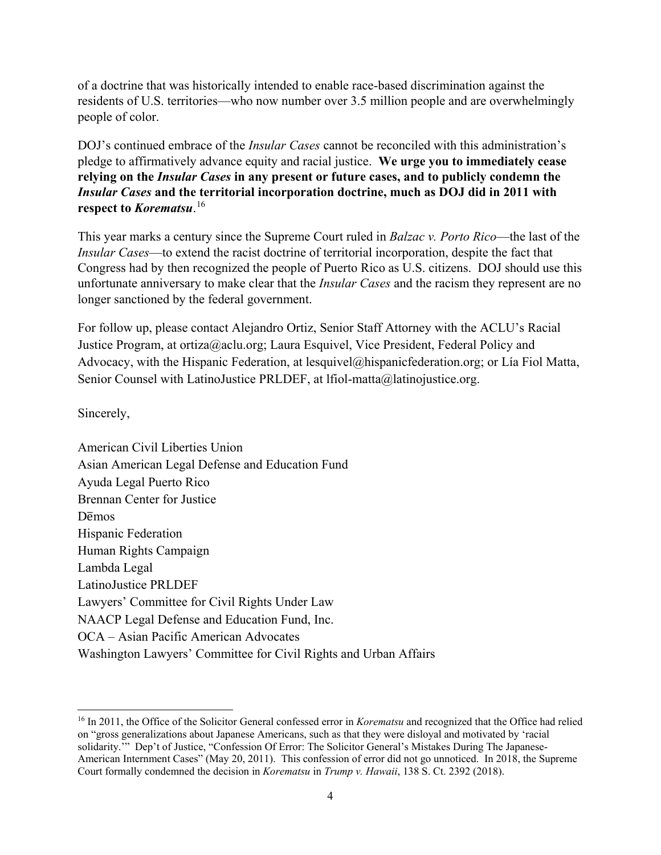of a doctrine that was historically intended to enable race-based discrimination against the residents of U.S. territories—who now number over 3.5 million people and are overwhelmingly people of color.

DOJ's continued embrace of the *Insular Cases* cannot be reconciled with this administration's pledge to affirmatively advance equity and racial justice. **We urge you to immediately cease relying on the** *Insular Cases* **in any present or future cases, and to publicly condemn the**  *Insular Cases* **and the territorial incorporation doctrine, much as DOJ did in 2011 with respect to** *Korematsu*. [16](#page-3-0)

This year marks a century since the Supreme Court ruled in *Balzac v. Porto Rico*—the last of the *Insular Cases*—to extend the racist doctrine of territorial incorporation, despite the fact that Congress had by then recognized the people of Puerto Rico as U.S. citizens. DOJ should use this unfortunate anniversary to make clear that the *Insular Cases* and the racism they represent are no longer sanctioned by the federal government.

For follow up, please contact Alejandro Ortiz, Senior Staff Attorney with the ACLU's Racial Justice Program, at ortiza@aclu.org; Laura Esquivel, Vice President, Federal Policy and Advocacy, with the Hispanic Federation, at lesquivel@hispanicfederation.org; or Lía Fiol Matta, Senior Counsel with LatinoJustice PRLDEF, at lfiol-matta@latinojustice.org.

Sincerely,

 $\overline{a}$ 

American Civil Liberties Union Asian American Legal Defense and Education Fund Ayuda Legal Puerto Rico Brennan Center for Justice D<del>emos</del> Hispanic Federation Human Rights Campaign Lambda Legal LatinoJustice PRLDEF Lawyers' Committee for Civil Rights Under Law NAACP Legal Defense and Education Fund, Inc. OCA – Asian Pacific American Advocates Washington Lawyers' Committee for Civil Rights and Urban Affairs

<span id="page-3-0"></span><sup>16</sup> In 2011, the Office of the Solicitor General confessed error in *Korematsu* and recognized that the Office had relied on "gross generalizations about Japanese Americans, such as that they were disloyal and motivated by 'racial solidarity.'" Dep't of Justice, "Confession Of Error: The Solicitor General's Mistakes During The Japanese-American Internment Cases" (May 20, 2011). This confession of error did not go unnoticed. In 2018, the Supreme Court formally condemned the decision in *Korematsu* in *Trump v. Hawaii*, 138 S. Ct. 2392 (2018).